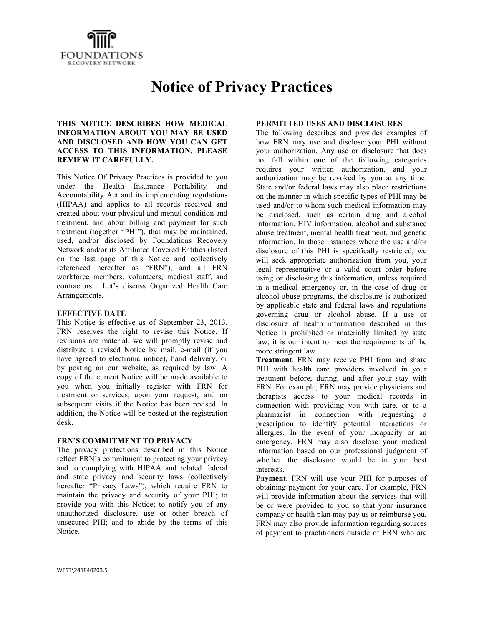

# **Notice of Privacy Practices**

#### **THIS NOTICE DESCRIBES HOW MEDICAL INFORMATION ABOUT YOU MAY BE USED AND DISCLOSED AND HOW YOU CAN GET ACCESS TO THIS INFORMATION. PLEASE REVIEW IT CAREFULLY.**

This Notice Of Privacy Practices is provided to you under the Health Insurance Portability and Accountability Act and its implementing regulations (HIPAA) and applies to all records received and created about your physical and mental condition and treatment, and about billing and payment for such treatment (together "PHI"), that may be maintained, used, and/or disclosed by Foundations Recovery Network and/or its Affiliated Covered Entities (listed on the last page of this Notice and collectively referenced hereafter as "FRN"), and all FRN workforce members, volunteers, medical staff, and contractors. Let's discuss Organized Health Care Arrangements.

#### **EFFECTIVE DATE**

This Notice is effective as of September 23, 2013. FRN reserves the right to revise this Notice. If revisions are material, we will promptly revise and distribute a revised Notice by mail, e-mail (if you have agreed to electronic notice), hand delivery, or by posting on our website, as required by law. A copy of the current Notice will be made available to you when you initially register with FRN for treatment or services, upon your request, and on subsequent visits if the Notice has been revised. In addition, the Notice will be posted at the registration desk.

#### **FRN'S COMMITMENT TO PRIVACY**

The privacy protections described in this Notice reflect FRN's commitment to protecting your privacy and to complying with HIPAA and related federal and state privacy and security laws (collectively hereafter "Privacy Laws"), which require FRN to maintain the privacy and security of your PHI; to provide you with this Notice; to notify you of any unauthorized disclosure, use or other breach of unsecured PHI; and to abide by the terms of this Notice.

#### **PERMITTED USES AND DISCLOSURES**

The following describes and provides examples of how FRN may use and disclose your PHI without your authorization. Any use or disclosure that does not fall within one of the following categories requires your written authorization, and your authorization may be revoked by you at any time. State and/or federal laws may also place restrictions on the manner in which specific types of PHI may be used and/or to whom such medical information may be disclosed, such as certain drug and alcohol information, HIV information, alcohol and substance abuse treatment, mental health treatment, and genetic information. In those instances where the use and/or disclosure of this PHI is specifically restricted, we will seek appropriate authorization from you, your legal representative or a valid court order before using or disclosing this information, unless required in a medical emergency or, in the case of drug or alcohol abuse programs, the disclosure is authorized by applicable state and federal laws and regulations governing drug or alcohol abuse. If a use or disclosure of health information described in this Notice is prohibited or materially limited by state law, it is our intent to meet the requirements of the more stringent law.

**Treatment**. FRN may receive PHI from and share PHI with health care providers involved in your treatment before, during, and after your stay with FRN. For example, FRN may provide physicians and therapists access to your medical records in connection with providing you with care, or to a pharmacist in connection with requesting a prescription to identify potential interactions or allergies. In the event of your incapacity or an emergency, FRN may also disclose your medical information based on our professional judgment of whether the disclosure would be in your best interests.

**Payment**. FRN will use your PHI for purposes of obtaining payment for your care. For example, FRN will provide information about the services that will be or were provided to you so that your insurance company or health plan may pay us or reimburse you. FRN may also provide information regarding sources of payment to practitioners outside of FRN who are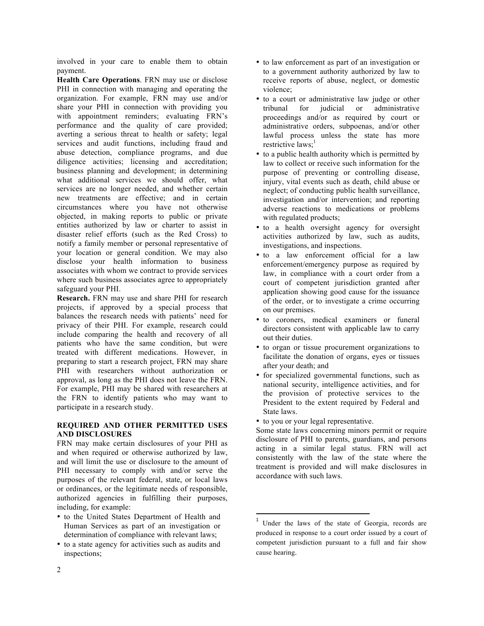involved in your care to enable them to obtain payment.

**Health Care Operations**. FRN may use or disclose PHI in connection with managing and operating the organization. For example, FRN may use and/or share your PHI in connection with providing you with appointment reminders; evaluating FRN's performance and the quality of care provided; averting a serious threat to health or safety; legal services and audit functions, including fraud and abuse detection, compliance programs, and due diligence activities; licensing and accreditation; business planning and development; in determining what additional services we should offer, what services are no longer needed, and whether certain new treatments are effective; and in certain circumstances where you have not otherwise objected, in making reports to public or private entities authorized by law or charter to assist in disaster relief efforts (such as the Red Cross) to notify a family member or personal representative of your location or general condition. We may also disclose your health information to business associates with whom we contract to provide services where such business associates agree to appropriately safeguard your PHI.

**Research.** FRN may use and share PHI for research projects, if approved by a special process that balances the research needs with patients' need for privacy of their PHI. For example, research could include comparing the health and recovery of all patients who have the same condition, but were treated with different medications. However, in preparing to start a research project, FRN may share PHI with researchers without authorization or approval, as long as the PHI does not leave the FRN. For example, PHI may be shared with researchers at the FRN to identify patients who may want to participate in a research study.

### **REQUIRED AND OTHER PERMITTED USES AND DISCLOSURES**

FRN may make certain disclosures of your PHI as and when required or otherwise authorized by law, and will limit the use or disclosure to the amount of PHI necessary to comply with and/or serve the purposes of the relevant federal, state, or local laws or ordinances, or the legitimate needs of responsible, authorized agencies in fulfilling their purposes, including, for example:

- to the United States Department of Health and Human Services as part of an investigation or determination of compliance with relevant laws;
- to a state agency for activities such as audits and inspections;
- to law enforcement as part of an investigation or to a government authority authorized by law to receive reports of abuse, neglect, or domestic violence;
- to a court or administrative law judge or other tribunal for judicial or administrative proceedings and/or as required by court or administrative orders, subpoenas, and/or other lawful process unless the state has more restrictive laws; $<sup>1</sup>$ </sup>
- to a public health authority which is permitted by law to collect or receive such information for the purpose of preventing or controlling disease, injury, vital events such as death, child abuse or neglect; of conducting public health surveillance, investigation and/or intervention; and reporting adverse reactions to medications or problems with regulated products;
- to a health oversight agency for oversight activities authorized by law, such as audits, investigations, and inspections.
- to a law enforcement official for a law enforcement/emergency purpose as required by law, in compliance with a court order from a court of competent jurisdiction granted after application showing good cause for the issuance of the order, or to investigate a crime occurring on our premises.
- to coroners, medical examiners or funeral directors consistent with applicable law to carry out their duties.
- to organ or tissue procurement organizations to facilitate the donation of organs, eyes or tissues after your death; and
- for specialized governmental functions, such as national security, intelligence activities, and for the provision of protective services to the President to the extent required by Federal and State laws.
- to you or your legal representative.

!!!!!!!!!!!!!!!!!!!!!!!!!!!!!!!!!!!!!!!!!!!!!!!!!!!!!!!!!!!!

Some state laws concerning minors permit or require disclosure of PHI to parents, guardians, and persons acting in a similar legal status. FRN will act consistently with the law of the state where the treatment is provided and will make disclosures in accordance with such laws.

Under the laws of the state of Georgia, records are produced in response to a court order issued by a court of competent jurisdiction pursuant to a full and fair show cause hearing.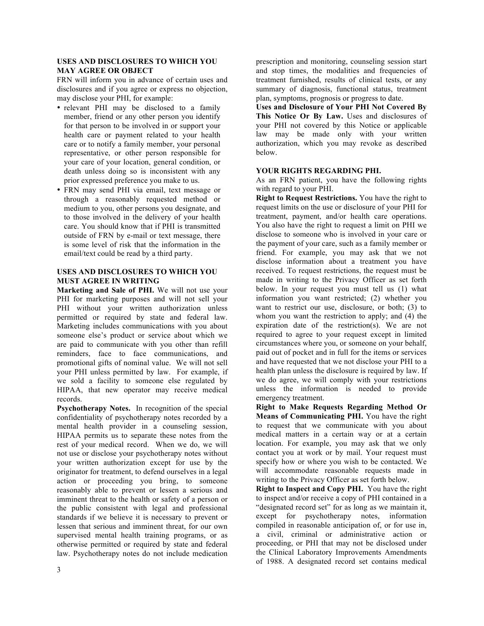## **USES AND DISCLOSURES TO WHICH YOU MAY AGREE OR OBJECT**

FRN will inform you in advance of certain uses and disclosures and if you agree or express no objection, may disclose your PHI, for example:

- relevant PHI may be disclosed to a family member, friend or any other person you identify for that person to be involved in or support your health care or payment related to your health care or to notify a family member, your personal representative, or other person responsible for your care of your location, general condition, or death unless doing so is inconsistent with any prior expressed preference you make to us.
- FRN may send PHI via email, text message or through a reasonably requested method or medium to you, other persons you designate, and to those involved in the delivery of your health care. You should know that if PHI is transmitted outside of FRN by e-mail or text message, there is some level of risk that the information in the email/text could be read by a third party.

### **USES AND DISCLOSURES TO WHICH YOU MUST AGREE IN WRITING**

**Marketing and Sale of PHI.** We will not use your PHI for marketing purposes and will not sell your PHI without your written authorization unless permitted or required by state and federal law. Marketing includes communications with you about someone else's product or service about which we are paid to communicate with you other than refill reminders, face to face communications, and promotional gifts of nominal value. We will not sell your PHI unless permitted by law. For example, if we sold a facility to someone else regulated by HIPAA, that new operator may receive medical records.

**Psychotherapy Notes.** In recognition of the special confidentiality of psychotherapy notes recorded by a mental health provider in a counseling session, HIPAA permits us to separate these notes from the rest of your medical record. When we do, we will not use or disclose your psychotherapy notes without your written authorization except for use by the originator for treatment, to defend ourselves in a legal action or proceeding you bring, to someone reasonably able to prevent or lessen a serious and imminent threat to the health or safety of a person or the public consistent with legal and professional standards if we believe it is necessary to prevent or lessen that serious and imminent threat, for our own supervised mental health training programs, or as otherwise permitted or required by state and federal law. Psychotherapy notes do not include medication prescription and monitoring, counseling session start and stop times, the modalities and frequencies of treatment furnished, results of clinical tests, or any summary of diagnosis, functional status, treatment plan, symptoms, prognosis or progress to date.

**Uses and Disclosure of Your PHI Not Covered By This Notice Or By Law.** Uses and disclosures of your PHI not covered by this Notice or applicable law may be made only with your written authorization, which you may revoke as described below.

### **YOUR RIGHTS REGARDING PHI.**

As an FRN patient, you have the following rights with regard to your PHI.

**Right to Request Restrictions.** You have the right to request limits on the use or disclosure of your PHI for treatment, payment, and/or health care operations. You also have the right to request a limit on PHI we disclose to someone who is involved in your care or the payment of your care, such as a family member or friend. For example, you may ask that we not disclose information about a treatment you have received. To request restrictions, the request must be made in writing to the Privacy Officer as set forth below. In your request you must tell us (1) what information you want restricted; (2) whether you want to restrict our use, disclosure, or both; (3) to whom you want the restriction to apply; and (4) the expiration date of the restriction(s). We are not required to agree to your request except in limited circumstances where you, or someone on your behalf, paid out of pocket and in full for the items or services and have requested that we not disclose your PHI to a health plan unless the disclosure is required by law. If we do agree, we will comply with your restrictions unless the information is needed to provide emergency treatment.

**Right to Make Requests Regarding Method Or Means of Communicating PHI.** You have the right to request that we communicate with you about medical matters in a certain way or at a certain location. For example, you may ask that we only contact you at work or by mail. Your request must specify how or where you wish to be contacted. We will accommodate reasonable requests made in writing to the Privacy Officer as set forth below.

**Right to Inspect and Copy PHI.** You have the right to inspect and/or receive a copy of PHI contained in a "designated record set" for as long as we maintain it, except for psychotherapy notes, information compiled in reasonable anticipation of, or for use in, a civil, criminal or administrative action or proceeding, or PHI that may not be disclosed under the Clinical Laboratory Improvements Amendments of 1988. A designated record set contains medical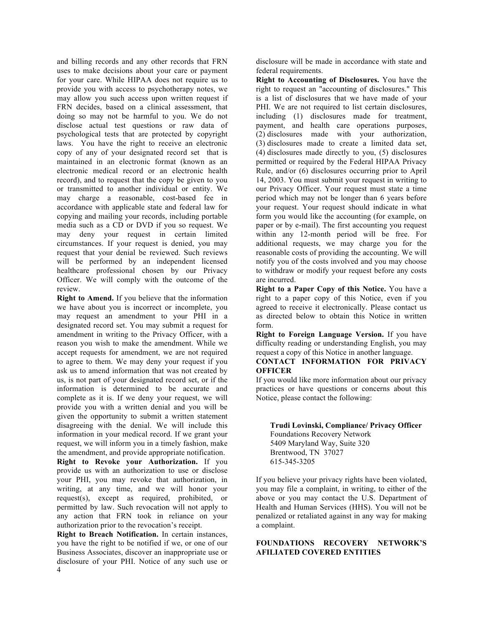and billing records and any other records that FRN uses to make decisions about your care or payment for your care. While HIPAA does not require us to provide you with access to psychotherapy notes, we may allow you such access upon written request if FRN decides, based on a clinical assessment, that doing so may not be harmful to you. We do not disclose actual test questions or raw data of psychological tests that are protected by copyright laws. You have the right to receive an electronic copy of any of your designated record set that is maintained in an electronic format (known as an electronic medical record or an electronic health record), and to request that the copy be given to you or transmitted to another individual or entity. We may charge a reasonable, cost-based fee in accordance with applicable state and federal law for copying and mailing your records, including portable media such as a CD or DVD if you so request. We may deny your request in certain limited circumstances. If your request is denied, you may request that your denial be reviewed. Such reviews will be performed by an independent licensed healthcare professional chosen by our Privacy Officer. We will comply with the outcome of the review.

**Right to Amend.** If you believe that the information we have about you is incorrect or incomplete, you may request an amendment to your PHI in a designated record set. You may submit a request for amendment in writing to the Privacy Officer, with a reason you wish to make the amendment. While we accept requests for amendment, we are not required to agree to them. We may deny your request if you ask us to amend information that was not created by us, is not part of your designated record set, or if the information is determined to be accurate and complete as it is. If we deny your request, we will provide you with a written denial and you will be given the opportunity to submit a written statement disagreeing with the denial. We will include this information in your medical record. If we grant your request, we will inform you in a timely fashion, make the amendment, and provide appropriate notification.

**Right to Revoke your Authorization.** If you provide us with an authorization to use or disclose your PHI, you may revoke that authorization, in writing, at any time, and we will honor your request(s), except as required, prohibited, or permitted by law. Such revocation will not apply to any action that FRN took in reliance on your authorization prior to the revocation's receipt.

4 **Right to Breach Notification.** In certain instances, you have the right to be notified if we, or one of our Business Associates, discover an inappropriate use or disclosure of your PHI. Notice of any such use or disclosure will be made in accordance with state and federal requirements.

**Right to Accounting of Disclosures.** You have the right to request an "accounting of disclosures." This is a list of disclosures that we have made of your PHI. We are not required to list certain disclosures, including (1) disclosures made for treatment, payment, and health care operations purposes, (2) disclosures made with your authorization, (3) disclosures made to create a limited data set, (4) disclosures made directly to you, (5) disclosures permitted or required by the Federal HIPAA Privacy Rule, and/or (6) disclosures occurring prior to April 14, 2003. You must submit your request in writing to our Privacy Officer. Your request must state a time period which may not be longer than 6 years before your request. Your request should indicate in what form you would like the accounting (for example, on paper or by e-mail). The first accounting you request within any 12-month period will be free. For additional requests, we may charge you for the reasonable costs of providing the accounting. We will notify you of the costs involved and you may choose to withdraw or modify your request before any costs are incurred.

**Right to a Paper Copy of this Notice.** You have a right to a paper copy of this Notice, even if you agreed to receive it electronically. Please contact us as directed below to obtain this Notice in written form.

**Right to Foreign Language Version.** If you have difficulty reading or understanding English, you may request a copy of this Notice in another language.

### **CONTACT INFORMATION FOR PRIVACY OFFICER**

If you would like more information about our privacy practices or have questions or concerns about this Notice, please contact the following:

## **Trudi Lovinski, Compliance/ Privacy Officer** Foundations Recovery Network 5409 Maryland Way, Suite 320

Brentwood, TN 37027 615-345-3205

If you believe your privacy rights have been violated, you may file a complaint, in writing, to either of the above or you may contact the U.S. Department of Health and Human Services (HHS). You will not be penalized or retaliated against in any way for making a complaint.

## **FOUNDATIONS RECOVERY NETWORK'S AFILIATED COVERED ENTITIES**